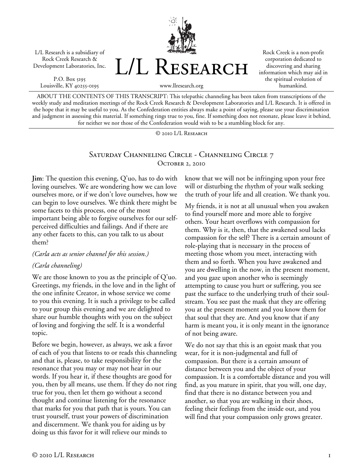

P.O. Box 5195 Louisville, KY 40255-0195



Rock Creek is a non-profit corporation dedicated to discovering and sharing information which may aid in the spiritual evolution of humankind.

ABOUT THE CONTENTS OF THIS TRANSCRIPT: This telepathic channeling has been taken from transcriptions of the weekly study and meditation meetings of the Rock Creek Research & Development Laboratories and L/L Research. It is offered in the hope that it may be useful to you. As the Confederation entities always make a point of saying, please use your discrimination and judgment in assessing this material. If something rings true to you, fine. If something does not resonate, please leave it behind, for neither we nor those of the Confederation would wish to be a stumbling block for any.

© 2010 L/L Research

### SATURDAY CHANNELING CIRCLE - CHANNELING CIRCLE 7 **OCTOBER 2, 2010**

**Jim**: The question this evening, Q'uo, has to do with loving ourselves. We are wondering how we can love ourselves more, or if we don't love ourselves, how we can begin to love ourselves. We think there might be some facets to this process, one of the most important being able to forgive ourselves for our selfperceived difficulties and failings. And if there are any other facets to this, can you talk to us about them?

### *(Carla acts as senior channel for this session.)*

### *(Carla channeling)*

We are those known to you as the principle of Q'uo. Greetings, my friends, in the love and in the light of the one infinite Creator, in whose service we come to you this evening. It is such a privilege to be called to your group this evening and we are delighted to share our humble thoughts with you on the subject of loving and forgiving the self. It is a wonderful topic.

Before we begin, however, as always, we ask a favor of each of you that listens to or reads this channeling and that is, please, to take responsibility for the resonance that you may or may not hear in our words. If you hear it, if these thoughts are good for you, then by all means, use them. If they do not ring true for you, then let them go without a second thought and continue listening for the resonance that marks for you that path that is yours. You can trust yourself, trust your powers of discrimination and discernment. We thank you for aiding us by doing us this favor for it will relieve our minds to

know that we will not be infringing upon your free will or disturbing the rhythm of your walk seeking the truth of your life and all creation. We thank you.

My friends, it is not at all unusual when you awaken to find yourself more and more able to forgive others. Your heart overflows with compassion for them. Why is it, then, that the awakened soul lacks compassion for the self? There is a certain amount of role-playing that is necessary in the process of meeting those whom you meet, interacting with them and so forth. When you have awakened and you are dwelling in the now, in the present moment, and you gaze upon another who is seemingly attempting to cause you hurt or suffering, you see past the surface to the underlying truth of their soulstream. You see past the mask that they are offering you at the present moment and you know them for that soul that they are. And you know that if any harm is meant you, it is only meant in the ignorance of not being aware.

We do not say that this is an egoist mask that you wear, for it is non-judgmental and full of compassion. But there is a certain amount of distance between you and the object of your compassion. It is a comfortable distance and you will find, as you mature in spirit, that you will, one day, find that there is no distance between you and another, so that you are walking in their shoes, feeling their feelings from the inside out, and you will find that your compassion only grows greater.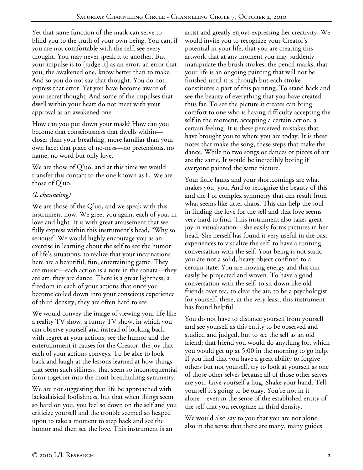Yet that same function of the mask can serve to blind you to the truth of your own being. You can, if you are not comfortable with the self, see every thought. You may never speak it to another. But your impulse is to [judge it] as an error, an error that you, the awakened one, know better than to make. And so you do not say that thought. You do not express that error. Yet you have become aware of your secret thought. And some of the impulses that dwell within your heart do not meet with your approval as an awakened one.

How can you put down your mask? How can you become that consciousness that dwells within closer than your breathing, more familiar than your own face; that place of no-ness—no pretensions, no name, no word but only love.

We are those of Q'uo, and at this time we would transfer this contact to the one known as L. We are those of Q'uo.

# *(L channeling)*

We are those of the Q'uo, and we speak with this instrument now. We greet you again, each of you, in love and light. It is with great amusement that we fully express within this instrument's head, "Why so serious?" We would highly encourage you as an exercise in learning about the self to see the humor of life's situations, to realize that your incarnations here are a beautiful, fun, entertaining game. They are music—each action is a note in the sonata—they are art, they are dance. There is a great lightness, a freedom in each of your actions that once you become coiled down into your conscious experience of third density, they are often hard to see.

We would convey the image of viewing your life like a reality TV show, a funny TV show, in which you can observe yourself and instead of looking back with regret at your actions, see the humor and the entertainment it causes for the Creator, the joy that each of your actions conveys. To be able to look back and laugh at the lessons learned at how things that seem such silliness, that seem so inconsequential form together into the most breathtaking symmetry.

We are not suggesting that life be approached with lackadaisical foolishness, but that when things seem so hard on you, you feel so down on the self and you criticize yourself and the trouble seemed so heaped upon to take a moment to step back and see the humor and then see the love. This instrument is an

artist and greatly enjoys expressing her creativity. We would invite you to recognize your Creator's potential in your life; that you are creating this artwork that at any moment you may suddenly manipulate the brush strokes, the pencil marks, that your life is an ongoing painting that will not be finished until it is through but each stroke constitutes a part of this painting. To stand back and see the beauty of everything that you have created thus far. To see the picture it creates can bring comfort to one who is having difficulty accepting the self in the moment, accepting a certain action, a certain feeling. It is these perceived mistakes that have brought you to where you are today. It is these notes that make the song, these steps that make the dance. While no two songs or dances or pieces of art are the same. It would be incredibly boring if everyone painted the same picture.

Your little faults and your shortcomings are what makes you, you. And to recognize the beauty of this and the I of complex symmetry that can result from what seems like utter chaos. This can help the soul in finding the love for the self and that love seems very hard to find. This instrument also takes great joy in visualization—she easily forms pictures in her head. She herself has found it very useful in the past experiences to visualize the self, to have a running conversation with the self. Your being is not static, you are not a solid, heavy object confined to a certain state. You are moving energy and this can easily be projected and woven. To have a good conversation with the self, to sit down like old friends over tea, to clear the air, to be a psychologist for yourself, these, at the very least, this instrument has found helpful.

You do not have to distance yourself from yourself and see yourself as this entity to be observed and studied and judged, but to see the self as an old friend; that friend you would do anything for, which you would get up at 5:00 in the morning to go help. If you find that you have a great ability to forgive others but not yourself, try to look at yourself as one of those other selves because all of those other selves are you. Give yourself a hug. Shake your hand. Tell yourself it's going to be okay. You're not in it alone—even in the sense of the established entity of the self that you recognize in third density.

We would also say to you that you are not alone, also in the sense that there are many, many guides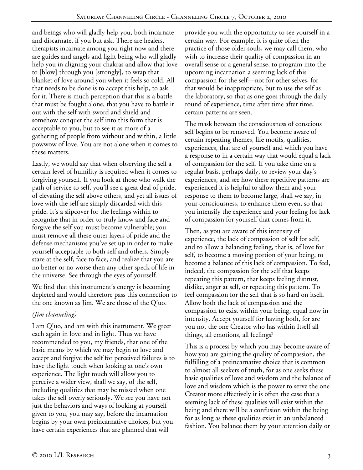and beings who will gladly help you, both incarnate and discarnate, if you but ask. There are healers, therapists incarnate among you right now and there are guides and angels and light being who will gladly help you in aligning your chakras and allow that love to [blow] through you [strongly], to wrap that blanket of love around you when it feels so cold. All that needs to be done is to accept this help, to ask for it. There is much perception that this is a battle that must be fought alone, that you have to battle it out with the self with sword and shield and somehow conquer the self into this form that is acceptable to you, but to see it as more of a gathering of people from without and within, a little powwow of love. You are not alone when it comes to these matters.

Lastly, we would say that when observing the self a certain level of humility is required when it comes to forgiving yourself. If you look at those who walk the path of service to self, you'll see a great deal of pride, of elevating the self above others, and yet all issues of love with the self are simply discarded with this pride. It's a slipcover for the feelings within to recognize that in order to truly know and face and forgive the self you must become vulnerable; you must remove all these outer layers of pride and the defense mechanisms you've set up in order to make yourself acceptable to both self and others. Simply stare at the self, face to face, and realize that you are no better or no worse then any other speck of life in the universe. See through the eyes of yourself.

We find that this instrument's energy is becoming depleted and would therefore pass this connection to the one known as Jim. We are those of the Q'uo.

## *(Jim channeling)*

I am Q'uo, and am with this instrument. We greet each again in love and in light. Thus we have recommended to you, my friends, that one of the basic means by which we may begin to love and accept and forgive the self for perceived failures is to have the light touch when looking at one's own experience. The light touch will allow you to perceive a wider view, shall we say, of the self, including qualities that may be missed when one takes the self overly seriously. We see you have not just the behaviors and ways of looking at yourself given to you, you may say, before the incarnation begins by your own preincarnative choices, but you have certain experiences that are planned that will

provide you with the opportunity to see yourself in a certain way. For example, it is quite often the practice of those older souls, we may call them, who wish to increase their quality of compassion in an overall sense or a general sense, to program into the upcoming incarnation a seeming lack of this compassion for the self—not for other selves, for that would be inappropriate, but to use the self as the laboratory, so that as one goes through the daily round of experience, time after time after time, certain patterns are seen.

The mask between the consciousness of conscious self begins to be removed. You become aware of certain repeating themes, life motifs, qualities, experiences, that are of yourself and which you have a response to in a certain way that would equal a lack of compassion for the self. If you take time on a regular basis, perhaps daily, to review your day's experiences, and see how these repetitive patterns are experienced it is helpful to allow them and your response to them to become large, shall we say, in your consciousness, to enhance them even, so that you intensify the experience and your feeling for lack of compassion for yourself that comes from it.

Then, as you are aware of this intensity of experience, the lack of compassion of self for self, and to allow a balancing feeling, that is, of love for self, to become a moving portion of your being, to become a balance of this lack of compassion. To feel, indeed, the compassion for the self that keeps repeating this pattern, that keeps feeling distrust, dislike, anger at self, or repeating this pattern. To feel compassion for the self that is so hard on itself. Allow both the lack of compassion and the compassion to exist within your being, equal now in intensity. Accept yourself for having both, for are you not the one Creator who has within Itself all things, all emotions, all feelings?

This is a process by which you may become aware of how you are gaining the quality of compassion, the fulfilling of a preincarnative choice that is common to almost all seekers of truth, for as one seeks these basic qualities of love and wisdom and the balance of love and wisdom which is the power to serve the one Creator more effectively it is often the case that a seeming lack of these qualities will exist within the being and there will be a confusion within the being for as long as these qualities exist in an unbalanced fashion. You balance them by your attention daily or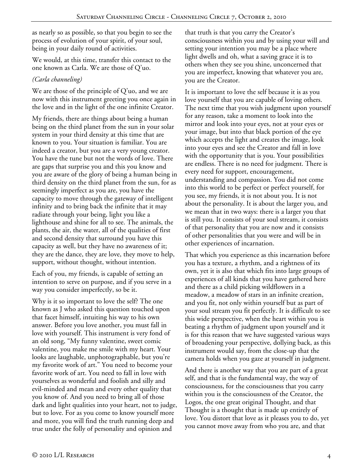as nearly so as possible, so that you begin to see the process of evolution of your spirit, of your soul, being in your daily round of activities.

We would, at this time, transfer this contact to the one known as Carla. We are those of Q'uo.

# *(Carla channeling)*

We are those of the principle of Q'uo, and we are now with this instrument greeting you once again in the love and in the light of the one infinite Creator.

My friends, there are things about being a human being on the third planet from the sun in your solar system in your third density at this time that are known to you. Your situation is familiar. You are indeed a creator, but you are a very young creator. You have the tune but not the words of love. There are gaps that surprise you and this you know and you are aware of the glory of being a human being in third density on the third planet from the sun, for as seemingly imperfect as you are, you have the capacity to move through the gateway of intelligent infinity and to bring back the infinite that it may radiate through your being, light you like a lighthouse and shine for all to see. The animals, the plants, the air, the water, all of the qualities of first and second density that surround you have this capacity as well, but they have no awareness of it; they are the dance, they are love, they move to help, support, without thought, without intention.

Each of you, my friends, is capable of setting an intention to serve on purpose, and if you serve in a way you consider imperfectly, so be it.

Why is it so important to love the self? The one known as J who asked this question touched upon that facet himself, intuiting his way to his own answer. Before you love another, you must fall in love with yourself. This instrument is very fond of an old song, "My funny valentine, sweet comic valentine, you make me smile with my heart. Your looks are laughable, unphotographable, but you're my favorite work of art." You need to become your favorite work of art. You need to fall in love with yourselves as wonderful and foolish and silly and evil-minded and mean and every other quality that you know of. And you need to bring all of those dark and light qualities into your heart, not to judge, but to love. For as you come to know yourself more and more, you will find the truth running deep and true under the folly of personality and opinion and

that truth is that you carry the Creator's consciousness within you and by using your will and setting your intention you may be a place where light dwells and oh, what a saving grace it is to others when they see you shine, unconcerned that you are imperfect, knowing that whatever you are, you are the Creator.

It is important to love the self because it is as you love yourself that you are capable of loving others. The next time that you wish judgment upon yourself for any reason, take a moment to look into the mirror and look into your eyes, not at your eyes or your image, but into that black portion of the eye which accepts the light and creates the image, look into your eyes and see the Creator and fall in love with the opportunity that is you. Your possibilities are endless. There is no need for judgment. There is every need for support, encouragement, understanding and compassion. You did not come into this world to be perfect or perfect yourself, for you see, my friends, it is not about you. It is not about the personality. It is about the larger you, and we mean that in two ways: there is a larger you that is still you. It consists of your soul stream, it consists of that personality that you are now and it consists of other personalities that you were and will be in other experiences of incarnation.

That which you experience as this incarnation before you has a texture, a rhythm, and a rightness of its own, yet it is also that which fits into large groups of experiences of all kinds that you have gathered here and there as a child picking wildflowers in a meadow, a meadow of stars in an infinite creation, and you fit, not only within yourself but as part of your soul stream you fit perfectly. It is difficult to see this wide perspective, when the heart within you is beating a rhythm of judgment upon yourself and it is for this reason that we have suggested various ways of broadening your perspective, dollying back, as this instrument would say, from the close-up that the camera holds when you gaze at yourself in judgment.

And there is another way that you are part of a great self, and that is the fundamental way, the way of consciousness, for the consciousness that you carry within you is the consciousness of the Creator, the Logos, the one great original Thought, and that Thought is a thought that is made up entirely of love. You distort that love as it pleases you to do, yet you cannot move away from who you are, and that